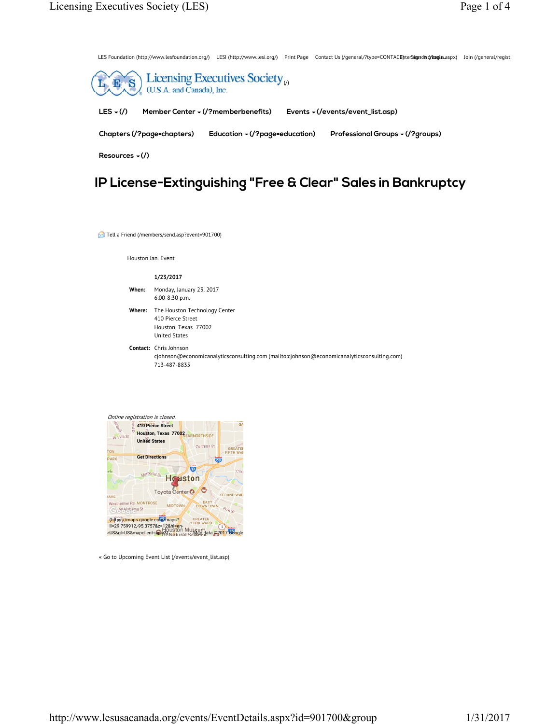LES Foundation (http://www.lesfoundation.org/) LESI (http://www.lesi.org/) Print Page Contact Us (/general/?type=CONTACE)nterSigndm (/ilogin.aspx) Join (/general/regist



# **IP License-Extinguishing "Free & Clear" Sales in Bankruptcy**

Tell a Friend (/members/send.asp?event=901700)

Houston Jan. Event

#### **1/23/2017**

- **When:** Monday, January 23, 2017 6:00-8:30 p.m.
- **Where:** The Houston Technology Center 410 Pierce Street Houston, Texas 77002 United States
- **Contact:** Chris Johnson cjohnson@economicanalyticsconsulting.com (mailto:cjohnson@economicanalyticsconsulting.com) 713-487-8835



« Go to Upcoming Event List (/events/event\_list.asp)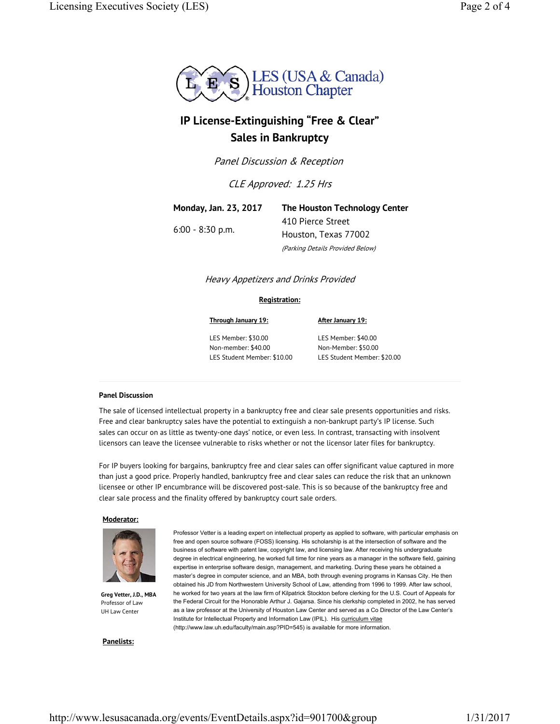

# **IP License-Extinguishing "Free & Clear" Sales in Bankruptcy**

Panel Discussion & Reception

CLE Approved: 1.25 Hrs

**Monday, Jan. 23, 2017** 6:00 - 8:30 p.m. **The Houston Technology Center** 410 Pierce Street Houston, Texas 77002 (Parking Details Provided Below)

# Heavy Appetizers and Drinks Provided

## **Registration:**

LES Member: \$30.00 Non-member: \$40.00 LES Student Member: \$10.00

**Through January 19:**

**After January 19:**

LES Member: \$40.00 Non-Member: \$50.00 LES Student Member: \$20.00

## **Panel Discussion**

The sale of licensed intellectual property in a bankruptcy free and clear sale presents opportunities and risks. Free and clear bankruptcy sales have the potential to extinguish a non-bankrupt party's IP license. Such sales can occur on as little as twenty-one days' notice, or even less. In contrast, transacting with insolvent licensors can leave the licensee vulnerable to risks whether or not the licensor later files for bankruptcy.

For IP buyers looking for bargains, bankruptcy free and clear sales can offer significant value captured in more than just a good price. Properly handled, bankruptcy free and clear sales can reduce the risk that an unknown licensee or other IP encumbrance will be discovered post-sale. This is so because of the bankruptcy free and clear sale process and the finality offered by bankruptcy court sale orders.

## **Moderator:**



**Greg Vetter, J.D., MBA** Professor of Law UH Law Center

Professor Vetter is a leading expert on intellectual property as applied to software, with particular emphasis on free and open source software (FOSS) licensing. His scholarship is at the intersection of software and the business of software with patent law, copyright law, and licensing law. After receiving his undergraduate degree in electrical engineering, he worked full time for nine years as a manager in the software field, gaining expertise in enterprise software design, management, and marketing. During these years he obtained a master's degree in computer science, and an MBA, both through evening programs in Kansas City. He then obtained his JD from Northwestern University School of Law, attending from 1996 to 1999. After law school, he worked for two years at the law firm of Kilpatrick Stockton before clerking for the U.S. Court of Appeals for the Federal Circuit for the Honorable Arthur J. Gajarsa. Since his clerkship completed in 2002, he has served as a law professor at the University of Houston Law Center and served as a Co Director of the Law Center's Institute for Intellectual Property and Information Law (IPIL). His curriculum vitae (http://www.law.uh.edu/faculty/main.asp?PID=545) is available for more information.

#### **Panelists:**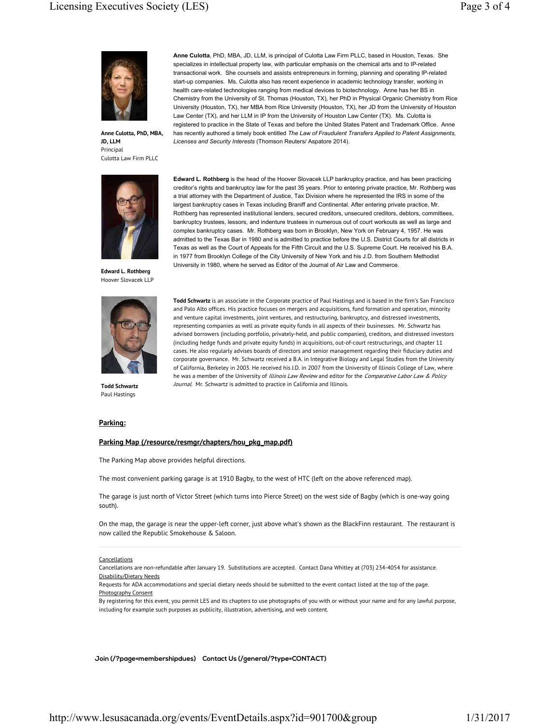

**Anne Culotta, PhD, MBA, JD, LLM** Principal Culotta Law Firm PLLC



**Edward L. Rothberg** Hoover Slovacek LLP



**Todd Schwartz** Paul Hastings

**Anne Culotta**, PhD, MBA, JD, LLM, is principal of Culotta Law Firm PLLC, based in Houston, Texas. She specializes in intellectual property law, with particular emphasis on the chemical arts and to IP-related transactional work. She counsels and assists entrepreneurs in forming, planning and operating IP-related start-up companies. Ms. Culotta also has recent experience in academic technology transfer, working in health care-related technologies ranging from medical devices to biotechnology. Anne has her BS in Chemistry from the University of St. Thomas (Houston, TX), her PhD in Physical Organic Chemistry from Rice University (Houston, TX), her MBA from Rice University (Houston, TX), her JD from the University of Houston Law Center (TX), and her LLM in IP from the University of Houston Law Center (TX). Ms. Culotta is registered to practice in the State of Texas and before the United States Patent and Trademark Office. Anne has recently authored a timely book entitled *The Law of Fraudulent Transfers Applied to Patent Assignments, Licenses and Security Interests* (Thomson Reuters/ Aspatore 2014).

**Edward L. Rothberg** is the head of the Hoover Slovacek LLP bankruptcy practice, and has been practicing creditor's rights and bankruptcy law for the past 35 years. Prior to entering private practice, Mr. Rothberg was a trial attorney with the Department of Justice, Tax Division where he represented the IRS in some of the largest bankruptcy cases in Texas including Braniff and Continental. After entering private practice, Mr. Rothberg has represented institutional lenders, secured creditors, unsecured creditors, debtors, committees, bankruptcy trustees, lessors, and indenture trustees in numerous out of court workouts as well as large and complex bankruptcy cases. Mr. Rothberg was born in Brooklyn, New York on February 4, 1957. He was admitted to the Texas Bar in 1980 and is admitted to practice before the U.S. District Courts for all districts in Texas as well as the Court of Appeals for the Fifth Circuit and the U.S. Supreme Court. He received his B.A. in 1977 from Brooklyn College of the City University of New York and his J.D. from Southern Methodist University in 1980, where he served as Editor of the Journal of Air Law and Commerce.

**Todd Schwartz** is an associate in the Corporate practice of Paul Hastings and is based in the firm's San Francisco and Palo Alto offices. His practice focuses on mergers and acquisitions, fund formation and operation, minority and venture capital investments, joint ventures, and restructuring, bankruptcy, and distressed investments, representing companies as well as private equity funds in all aspects of their businesses. Mr. Schwartz has advised borrowers (including portfolio, privately-held, and public companies), creditors, and distressed investors (including hedge funds and private equity funds) in acquisitions, out-of-court restructurings, and chapter 11 cases. He also regularly advises boards of directors and senior management regarding their fiduciary duties and corporate governance. Mr. Schwartz received a B.A. in Integrative Biology and Legal Studies from the University of California, Berkeley in 2003. He received his J.D. in 2007 from the University of Illinois College of Law, where he was a member of the University of Illinois Law Review and editor for the Comparative Labor Law & Policy Journal. Mr. Schwartz is admitted to practice in California and Illinois.

#### **Parking:**

#### **Parking Map (/resource/resmgr/chapters/hou\_pkg\_map.pdf)**

The Parking Map above provides helpful directions.

The most convenient parking garage is at 1910 Bagby, to the west of HTC (left on the above referenced map).

The garage is just north of Victor Street (which turns into Pierce Street) on the west side of Bagby (which is one-way going south).

On the map, the garage is near the upper-left corner, just above what's shown as the BlackFinn restaurant. The restaurant is now called the Republic Smokehouse & Saloon.

#### **Cancellations**

Cancellations are non-refundable after January 19. Substitutions are accepted. Contact Dana Whitley at (703) 234-4054 for assistance. Disability/Dietary Needs

Requests for ADA accommodations and special dietary needs should be submitted to the event contact listed at the top of the page. Photography Consent

By registering for this event, you permit LES and its chapters to use photographs of you with or without your name and for any lawful purpose, including for example such purposes as publicity, illustration, advertising, and web content.

**Join (/?page=membershipdues) Contact Us (/general/?type=CONTACT)**